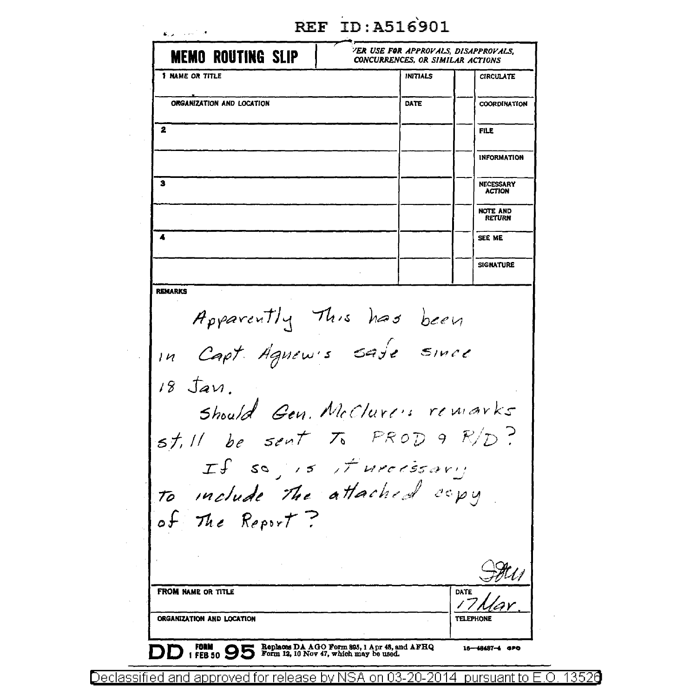| <b>REF ID: A516901</b> |
|------------------------|
|                        |

| <b>MEMO ROUTING SLIP</b>                                                                                                | 'ER USE FOR APPROVALS, DISAPPROVALS.<br>CONCURRENCES, OR SIMILAR ACTIONS |                                   |
|-------------------------------------------------------------------------------------------------------------------------|--------------------------------------------------------------------------|-----------------------------------|
| <b>1 NAME OR TITLE</b>                                                                                                  | <b>INITIALS</b>                                                          | <b>CIRCULATE</b>                  |
| ORGANIZATION AND LOCATION                                                                                               | DATE                                                                     | COORDINATION                      |
| 2                                                                                                                       |                                                                          | <b>FILE</b>                       |
|                                                                                                                         |                                                                          | <b>INFORMATION</b>                |
| з                                                                                                                       |                                                                          | <b>NECESSARY</b><br><b>ACTION</b> |
|                                                                                                                         |                                                                          | <b>NOTE AND</b><br>RETURN         |
| $\blacktriangleleft$                                                                                                    |                                                                          | SEE ME                            |
|                                                                                                                         |                                                                          | <b>SIGNATURE</b>                  |
| Apparently This has been<br>In Capt Agnew's save since<br>$18$ $\text{Jav}$ .<br>st. Il be sent $\tau_6$ PROD 9 $R/D$ ? | Should Gen. McClure's remarks                                            |                                   |
| to include the attached copy<br>of The Report?                                                                          | If so is it uncessary                                                    |                                   |
|                                                                                                                         |                                                                          |                                   |
| <b>FROM NAME OR TITLE</b>                                                                                               |                                                                          | <b>DATE</b>                       |

Declassified and approved for release by NSA on 03-20-2014 pursuant to E.O. 13526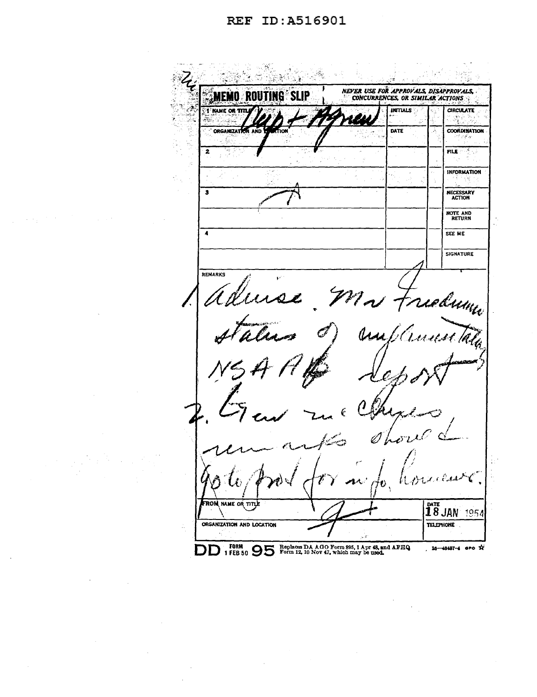## REF ID: A516901

NEVER USE FOR APPROVALS, DISAPPROVALS, **SMEMO ROL SLIP** Œ T KAME OR TITL بالدير INTIALS **CIRCULATE** ý. W. ORGANIZATION AND **DATE COORDINATION**  $\overline{2}$ FILE ٠. **INFORMATION** NECESSARY<br>ACTION  $\overline{\mathbf{1}}$ NOTE AND<br>RETURN  $\overline{\bullet}$ SEE ME **SIGNATURE** REMARKS ielumi l Ê **THE JAN 1954 ROM NAME OR**  $TT$ ORGANIZATION AND LOCATION TELEPHONE DD 1 FBB 50 95 Form 12, 10 Nov 47, which may be used. 16-48487-4 aro X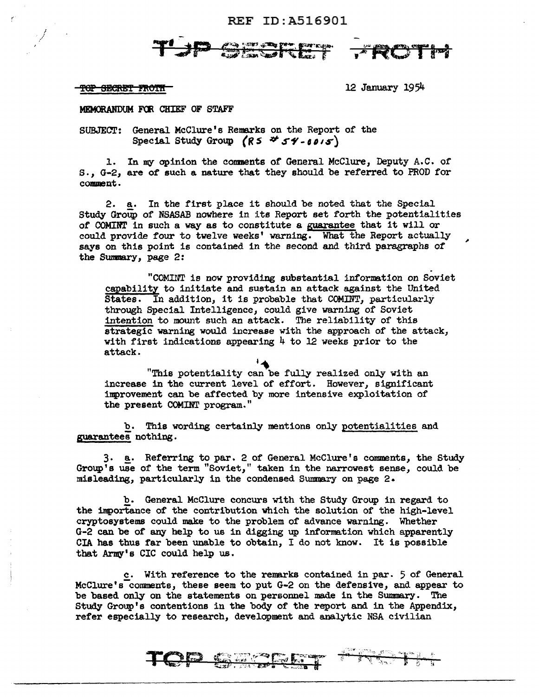REF ID:A516901

ang <sub>ti</sub>rang pe

,

'l'eP BBefiB'l' H\O'l"fl 12 January 1954

/ '

MEMORANDUM FOR CHIEF OF STAFF

SUBJECT: General McClure's Remarks on the Report of the Special Study Group *(R5* \*  $54 - 6015$ )

l. In my opinion the connents of General McClure, Deputy A.C. of s. *1* G-2*1* are of such a nature that they should be referred to PROD for comment.

2. a. In the first place it should be noted that the Special Study Group of NSASAB nowhere in its Report set forth the potentialities of COMINT in such a way as to constitute a guarantee that it will or could provide four to twelve weeks' warning. What the Report actually says on this point is contained in the second and third paragraphs of the Sumnary, page 2:

"COMINT is now providing substantial information on Soviet capability to initiate and sustain an attack against the United States. In addition, it is probable that COMINT, particularly through Special Intelligence, could give warning of Soviet intention to mount such an attack. The reliability of this strategic warning would increase with the approach of the attack, with first indications appearing  $4$  to 12 weeks prior to the attack.

"This potentiality can be fully realized only with an increase in the current level of effort. However, significant inprovement can be affected by more intensive exploitation of the present COMINT program."

b. This wording certainly mentions only potentialities and guarantees nothing.

3. a. Referring to par. 2 of General McClure's comments, the Study Group's use of the term "Soviet," taken in the narrowest sense, could be misleadiog, particularly in the condensed Summary on page 2.

b. General McClure concurs with the Study Group in regard to the importance of the contribution which the solution of the high-level cryptosystems could make to the problem of advance warning. Whether G-2 can be of any help to us in digging up information which apparently CIA has thus far been unable to obtain, I do not know. It is possible that Army's CIC could help us.

c. With reference to the remarks contained in par. 5 of General McClure's comments, these seem to put G-2 on the defensive, and appear to be based only on the statements on personnel made in the Swmnary. The Study Group's contentions in the body of the report and in the Appendix, refer especially to research, development and analytic NSA civilian